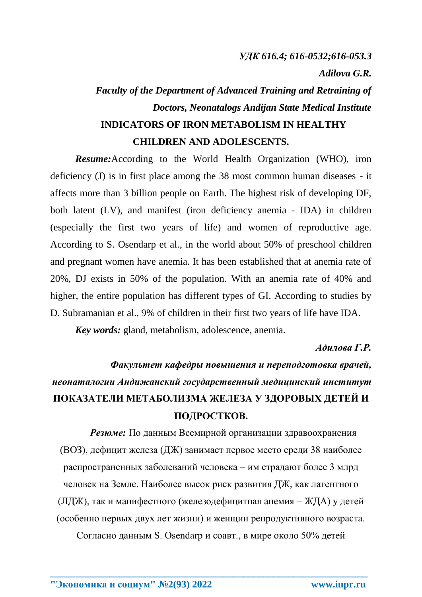### *УДК 616.4; 616-0532;616-053.3*

*Adilova G.R.*

## *Faculty of the Department of Advanced Training and Retraining of Doctors, Neonatalogs Andijan State Medical Institute* **INDICATORS OF IRON METABOLISM IN HEALTHY CHILDREN AND ADOLESCENTS.**

*Resume:*According to the World Health Organization (WHO), iron deficiency (J) is in first place among the 38 most common human diseases - it affects more than 3 billion people on Earth. The highest risk of developing DF, both latent (LV), and manifest (iron deficiency anemia - IDA) in children (especially the first two years of life) and women of reproductive age. According to S. Osendarp et al., in the world about 50% of preschool children and pregnant women have anemia. It has been established that at anemia rate of 20%, DJ exists in 50% of the population. With an anemia rate of 40% and higher, the entire population has different types of GI. According to studies by D. Subramanian et al., 9% of children in their first two years of life have IDA.

*Key words:* gland, metabolism, adolescence, anemia.

#### *Адилова Г.Р.*

# *Факультет кафедры повышения и переподготовка врачей, неонаталогии Андижанский государственный медицинский институт* **ПОКАЗАТЕЛИ МЕТАБОЛИЗМА ЖЕЛЕЗА У ЗДОРОВЫХ ДЕТЕЙ И ПОДРОСТКОВ.**

*Резюме:* По данным Всемирной организации здравоохранения (ВОЗ), дефицит железа (ДЖ) занимает первое место среди 38 наиболее распространенных заболеваний человека – им страдают более 3 млрд человек на Земле. Наиболее высок риск развития ДЖ, как латентного (ЛДЖ), так и манифестного (железодефицитная анемия – ЖДА) у детей (особенно первых двух лет жизни) и женщин репродуктивного возраста.

Согласно данным S. Osendarp и соавт., в мире около 50% детей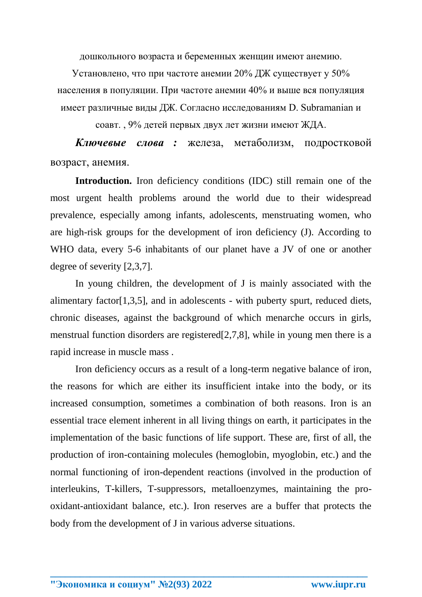дошкольного возраста и беременных женщин имеют анемию.

Установлено, что при частоте анемии 20% ДЖ существует у 50% населения в популяции. При частоте анемии 40% и выше вся популяция имеет различные виды ДЖ. Согласно исследованиям D. Subramanian и

соавт. , 9% детей первых двух лет жизни имеют ЖДА.

*Ключевые слова :* железа, метаболизм, подростковой возраст, анемия.

**Introduction.** Iron deficiency conditions (IDC) still remain one of the most urgent health problems around the world due to their widespread prevalence, especially among infants, adolescents, menstruating women, who are high-risk groups for the development of iron deficiency (J). According to WHO data, every 5-6 inhabitants of our planet have a JV of one or another degree of severity [2,3,7].

In young children, the development of J is mainly associated with the alimentary factor[1,3,5], and in adolescents - with puberty spurt, reduced diets, chronic diseases, against the background of which menarche occurs in girls, menstrual function disorders are registered[2,7,8], while in young men there is a rapid increase in muscle mass .

Iron deficiency occurs as a result of a long-term negative balance of iron, the reasons for which are either its insufficient intake into the body, or its increased consumption, sometimes a combination of both reasons. Iron is an essential trace element inherent in all living things on earth, it participates in the implementation of the basic functions of life support. These are, first of all, the production of iron-containing molecules (hemoglobin, myoglobin, etc.) and the normal functioning of iron-dependent reactions (involved in the production of interleukins, T-killers, T-suppressors, metalloenzymes, maintaining the prooxidant-antioxidant balance, etc.). Iron reserves are a buffer that protects the body from the development of J in various adverse situations.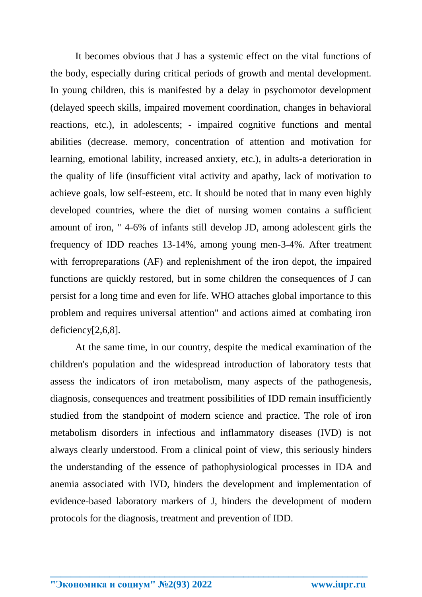It becomes obvious that J has a systemic effect on the vital functions of the body, especially during critical periods of growth and mental development. In young children, this is manifested by a delay in psychomotor development (delayed speech skills, impaired movement coordination, changes in behavioral reactions, etc.), in adolescents; - impaired cognitive functions and mental abilities (decrease. memory, concentration of attention and motivation for learning, emotional lability, increased anxiety, etc.), in adults-a deterioration in the quality of life (insufficient vital activity and apathy, lack of motivation to achieve goals, low self-esteem, etc. It should be noted that in many even highly developed countries, where the diet of nursing women contains a sufficient amount of iron, " 4-6% of infants still develop JD, among adolescent girls the frequency of IDD reaches 13-14%, among young men-3-4%. After treatment with ferropreparations (AF) and replenishment of the iron depot, the impaired functions are quickly restored, but in some children the consequences of J can persist for a long time and even for life. WHO attaches global importance to this problem and requires universal attention" and actions aimed at combating iron deficiency[2,6,8].

At the same time, in our country, despite the medical examination of the children's population and the widespread introduction of laboratory tests that assess the indicators of iron metabolism, many aspects of the pathogenesis, diagnosis, consequences and treatment possibilities of IDD remain insufficiently studied from the standpoint of modern science and practice. The role of iron metabolism disorders in infectious and inflammatory diseases (IVD) is not always clearly understood. From a clinical point of view, this seriously hinders the understanding of the essence of pathophysiological processes in IDA and anemia associated with IVD, hinders the development and implementation of evidence-based laboratory markers of J, hinders the development of modern protocols for the diagnosis, treatment and prevention of IDD.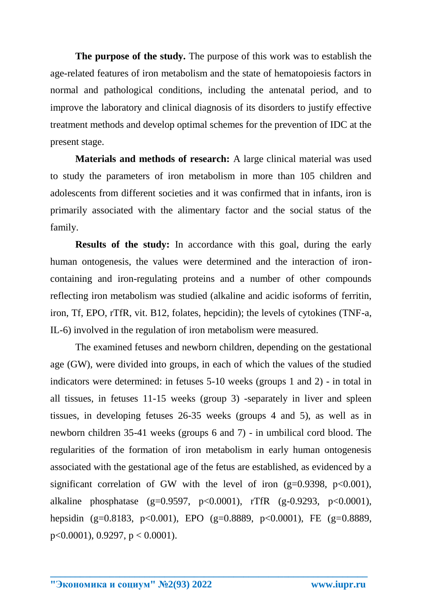**The purpose of the study.** The purpose of this work was to establish the age-related features of iron metabolism and the state of hematopoiesis factors in normal and pathological conditions, including the antenatal period, and to improve the laboratory and clinical diagnosis of its disorders to justify effective treatment methods and develop optimal schemes for the prevention of IDC at the present stage.

**Materials and methods of research:** A large clinical material was used to study the parameters of iron metabolism in more than 105 children and adolescents from different societies and it was confirmed that in infants, iron is primarily associated with the alimentary factor and the social status of the family.

**Results of the study:** In accordance with this goal, during the early human ontogenesis, the values were determined and the interaction of ironcontaining and iron-regulating proteins and a number of other compounds reflecting iron metabolism was studied (alkaline and acidic isoforms of ferritin, iron, Tf, EPO, rTfR, vit. B12, folates, hepcidin); the levels of cytokines (TNF-a, IL-6) involved in the regulation of iron metabolism were measured.

The examined fetuses and newborn children, depending on the gestational age (GW), were divided into groups, in each of which the values of the studied indicators were determined: in fetuses 5-10 weeks (groups 1 and 2) - in total in all tissues, in fetuses 11-15 weeks (group 3) -separately in liver and spleen tissues, in developing fetuses 26-35 weeks (groups 4 and 5), as well as in newborn children 35-41 weeks (groups 6 and 7) - in umbilical cord blood. The regularities of the formation of iron metabolism in early human ontogenesis associated with the gestational age of the fetus are established, as evidenced by a significant correlation of GW with the level of iron (g=0.9398, p<0.001), alkaline phosphatase (g=0.9597, p<0.0001), rTfR (g-0.9293, p<0.0001), hepsidin (g=0.8183, p<0.001), EPO (g=0.8889, p<0.0001), FE (g=0.8889, p<0.0001), 0.9297, p < 0.0001).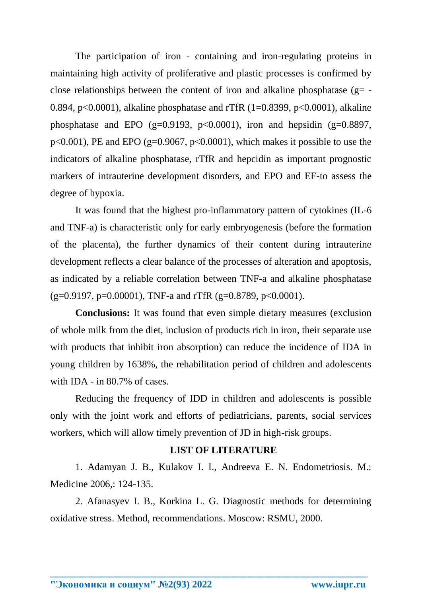The participation of iron - containing and iron-regulating proteins in maintaining high activity of proliferative and plastic processes is confirmed by close relationships between the content of iron and alkaline phosphatase ( $g=$  -0.894, p<0.0001), alkaline phosphatase and rTfR (1=0.8399, p<0.0001), alkaline phosphatase and EPO (g=0.9193, p<0.0001), iron and hepsidin (g=0.8897,  $p<0.001$ ), PE and EPO (g=0.9067,  $p<0.0001$ ), which makes it possible to use the indicators of alkaline phosphatase, rTfR and hepcidin as important prognostic markers of intrauterine development disorders, and EPO and EF-to assess the degree of hypoxia.

It was found that the highest pro-inflammatory pattern of cytokines (IL-6 and TNF-a) is characteristic only for early embryogenesis (before the formation of the placenta), the further dynamics of their content during intrauterine development reflects a clear balance of the processes of alteration and apoptosis, as indicated by a reliable correlation between TNF-a and alkaline phosphatase  $(g=0.9197, p=0.00001)$ , TNF-a and rTfR  $(g=0.8789, p<0.0001)$ .

**Conclusions:** It was found that even simple dietary measures (exclusion of whole milk from the diet, inclusion of products rich in iron, their separate use with products that inhibit iron absorption) can reduce the incidence of IDA in young children by 1638%, the rehabilitation period of children and adolescents with IDA - in 80.7% of cases.

Reducing the frequency of IDD in children and adolescents is possible only with the joint work and efforts of pediatricians, parents, social services workers, which will allow timely prevention of JD in high-risk groups.

#### **LIST OF LITERATURE**

1. Adamyan J. B., Kulakov I. I., Andreeva E. N. Endometriosis. M.: Medicine 2006,: 124-135.

2. Afanasyev I. B., Korkina L. G. Diagnostic methods for determining oxidative stress. Method, recommendations. Moscow: RSMU, 2000.